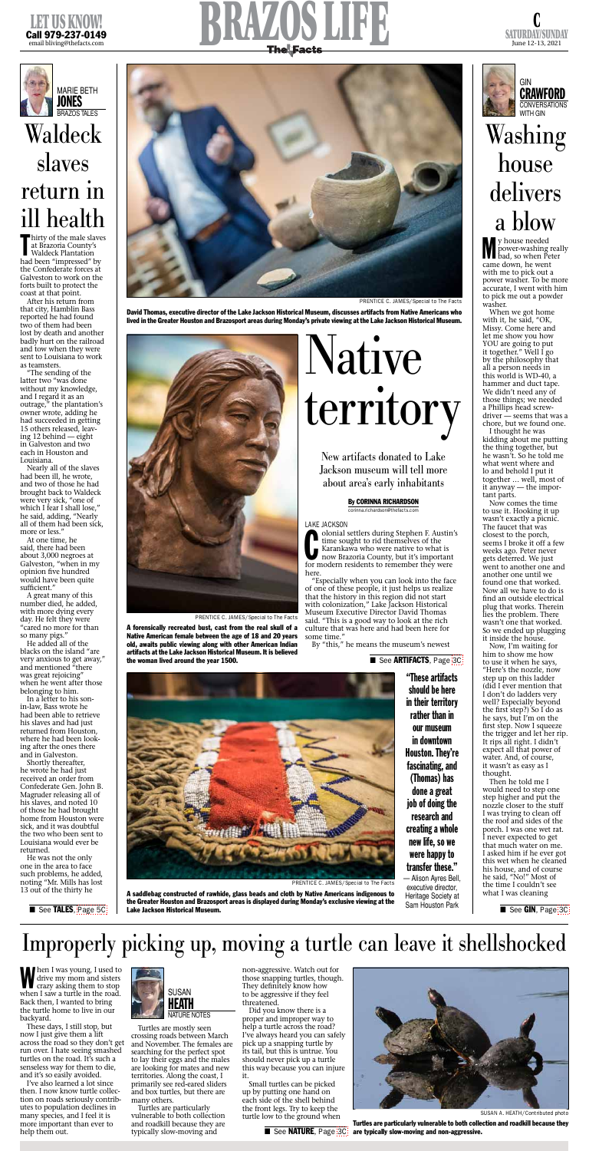





Men I was young, I used to<br>drive my mom and sisters<br>crazy asking them to stop<br>when I saw a turtle in the rod drive my mom and sisters crazy asking them to stop when I saw a turtle in the road. Back then, I wanted to bring the turtle home to live in our backyard.

These days, I still stop, but now I just give them a lift across the road so they don't get run over. I hate seeing smashed turtles on the road. It's such a senseless way for them to die, and it's so easily avoided.

I've also learned a lot since then. I now know turtle collection on roads seriously contributes to population declines in many species, and I feel it is more important than ever to help them out.

Turtles are mostly seen crossing roads between March and November. The females are searching for the perfect spot to lay their eggs and the males are looking for mates and new territories. Along the coast, I primarily see red-eared sliders and box turtles, but there are many others.

Turtles are particularly vulnerable to both collection and roadkill because they are typically slow-moving and

Inirty of the male slave<br>at Brazoria County's<br>Waldeck Plantation<br>had been "impressed" by hirty of the male slaves at Brazoria County's Waldeck Plantation the Confederate forces at Galveston to work on the forts built to protect the coast at that point.

> non-aggressive. Watch out for those snapping turtles, though. They definitely know how to be aggressive if they feel threatened.

Did you know there is a proper and improper way to help a turtle across the road? I've always heard you can safely pick up a snapping turtle by its tail, but this is untrue. You should never pick up a turtle this way because you can injure it.

At one time, he said, there had been about 3,000 negroes at Galveston, "when in my opinion five hundred would have been quite sufficient."

> Small turtles can be picked up by putting one hand on each side of the shell behind the front legs. Try to keep the turtle low to the ground when

> > ■ See NATURE, Page [3C](http://thefacts.com/tncms/eeditionjump/?page=3C&uuid=43d9d873-ce11-5e69-a0fc-c5932fa732d2)

# Improperly picking up, moving a turtle can leave it shellshocked



SUSAN A. HEATH/Contributed photo

Turtles are particularly vulnerable to both collection and roadkill because they are typically slow-moving and non-aggressive.







**M** y house needed<br>power-washing re<br>bad, so when Pet<br>came down, he went y house needed power-washing really bad, so when Peter with me to pick out a power washer. To be more accurate, I went with him to pick me out a powder washer.

After his return from that city, Hamblin Bass reported he had found two of them had been lost by death and another badly hurt on the railroad and tow when they were sent to Louisiana to work as teamsters.

"The sending of the latter two "was done without my knowledge, and I regard it as an outrage," the plantation's owner wrote, adding he had succeeded in getting 15 others released, leaving 12 behind — eight in Galveston and two each in Houston and Louisiana.

Nearly all of the slaves had been ill, he wrote, and two of those he had brought back to Waldeck were very sick, "one of which I fear I shall lose," he said, adding, "Nearly all of them had been sick, more or less."

A great many of this number died, he added, with more dying every day. He felt they were "cared no more for than so many pigs."

Colonial settlers during Stephen F. Austin'<br>time sought to rid themselves of the<br>Karankawa who were native to what is<br>now Brazoria County, but it's important<br>for modern residents to remember they were olonial settlers during Stephen F. Austin's time sought to rid themselves of the Karankawa who were native to what is now Brazoria County, but it's important here.

He added all of the blacks on the island "are very anxious to get away," and mentioned "there



was great rejoicing" when he went after those belonging to him.

In a letter to his sonin-law, Bass wrote he had been able to retrieve his slaves and had just returned from Houston, where he had been looking after the ones there and in Galveston.

Shortly thereafter, he wrote he had just received an order from Confederate Gen. John B. Magruder releasing all of his slaves, and noted 10 of those he had brought home from Houston were sick, and it was doubtful the two who been sent to Louisiana would ever be returned.

A forensically recreated bust, cast from the real skull of a Native American female between the age of 18 and 20 years old, awaits public viewing along with other American Indian artifacts at the Lake Jackson Historical Museum. It is believed the woman lived around the year 1500. ■ See ARTIFACTS, Page [3C](http://thefacts.com/tncms/eeditionjump/?page=3C&uuid=43d9d873-ce11-5e69-a0fc-c5932fa732d2)

He was not the only one in the area to face such problems, he added, noting "Mr. Mills has lost 13 out of the thirty he

■ See TALES, [Page 5C](http://thefacts.com/tncms/eeditionjump/?page=5C&uuid=43d9d873-ce11-5e69-a0fc-c5932fa732d2)

When we got home with it, he said, "OK, Missy. Come here and let me show you how YOU are going to put it together." Well I go by the philosophy that all a person needs in this world is WD-40, a hammer and duct tape. We didn't need any of those things; we needed a Phillips head screwdriver — seems that was a chore, but we found one.

I thought he was kidding about me putting the thing together, but he wasn't. So he told me what went where and lo and behold I put it together … well, most of it anyway — the important parts.

Now comes the time to use it. Hooking it up wasn't exactly a picnic. The faucet that was closest to the porch, seems I broke it off a few weeks ago. Peter never gets deterred. We just went to another one and another one until we found one that worked. Now all we have to do is find an outside electrical plug that works. Therein lies the problem. There wasn't one that worked. So we ended up plugging it inside the house.

Now, I'm waiting for him to show me how to use it when he says, 'Here's the nozzle, now step up on this ladder (did I ever mention that I don't do ladders very well? Especially beyond the first step?) So I do as he says, but I'm on the first step. Now I squeeze the trigger and let her rip. It rips all right. I didn't expect all that power of water. And, of course, it wasn't as easy as I thought. Then he told me I would need to step one step higher and put the nozzle closer to the stuff I was trying to clean off the roof and sides of the porch. I was one wet rat. I never expected to get that much water on me. I asked him if he ever got this wet when he cleaned his house, and of course he said, "No!" Most of the time I couldn't see what I was cleaning

# Washing house delivers a blow

# Waldeck slaves return in ill health

### By CORINNA RICHARDSON

corinna.richardson@thefacts.com

#### LAKE JACKSON

"Especially when you can look into the face of one of these people, it just helps us realize that the history in this region did not start with colonization," Lake Jackson Historical Museum Executive Director David Thomas said. "This is a good way to look at the rich culture that was here and had been here for some time."

By "this," he means the museum's newest



# Native territory

New artifacts donated to Lake Jackson museum will tell more about area's early inhabitants

PRENTICE C. JAMES/Special to The Facts

David Thomas, executive director of the Lake Jackson Historical Museum, discusses artifacts from Native Americans who lived in the Greater Houston and Brazosport areas during Monday's private viewing at the Lake Jackson Historical Museum.



PRENTICE C. JAMES/Special to The Facts

A saddlebag constructed of rawhide, glass beads and cloth by Native Americans indigenous to the Greater Houston and Brazosport areas is displayed during Monday's exclusive viewing at the Lake Jackson Historical Museum.



PRENTICE C. JAMES/Special to The Facts

"These artifacts should be here in their territory rather than in our museum in downtown Houston. They're fascinating, and (Thomas) has done a great job of doing the research and creating a whole new life, so we were happy to transfer these."

— Alison Ayres Bell, executive director, Heritage Society at Sam Houston Park

■ See GIN, Page [3C](http://thefacts.com/tncms/eeditionjump/?page=3C&uuid=43d9d873-ce11-5e69-a0fc-c5932fa732d2)